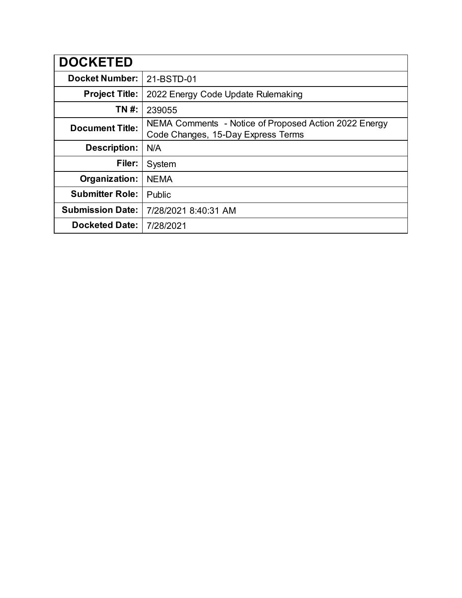| <b>DOCKETED</b>         |                                                                                             |
|-------------------------|---------------------------------------------------------------------------------------------|
| <b>Docket Number:</b>   | 21-BSTD-01                                                                                  |
| <b>Project Title:</b>   | 2022 Energy Code Update Rulemaking                                                          |
| TN #:                   | 239055                                                                                      |
| <b>Document Title:</b>  | NEMA Comments - Notice of Proposed Action 2022 Energy<br>Code Changes, 15-Day Express Terms |
| <b>Description:</b>     | N/A                                                                                         |
| Filer:                  | System                                                                                      |
| Organization:           | <b>NEMA</b>                                                                                 |
| <b>Submitter Role:</b>  | Public                                                                                      |
| <b>Submission Date:</b> | 7/28/2021 8:40:31 AM                                                                        |
| <b>Docketed Date:</b>   | 7/28/2021                                                                                   |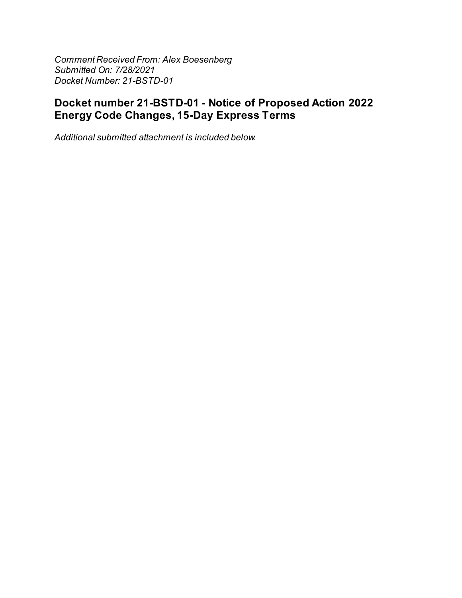**Comment Received From: Alex Boesenberg** Submitted On: 7/28/2021 Docket Number: 21-BSTD-01

# Docket number 21-BSTD-01 - Notice of Proposed Action 2022 **Energy Code Changes, 15-Day Express Terms**

Additional submitted attachment is included below.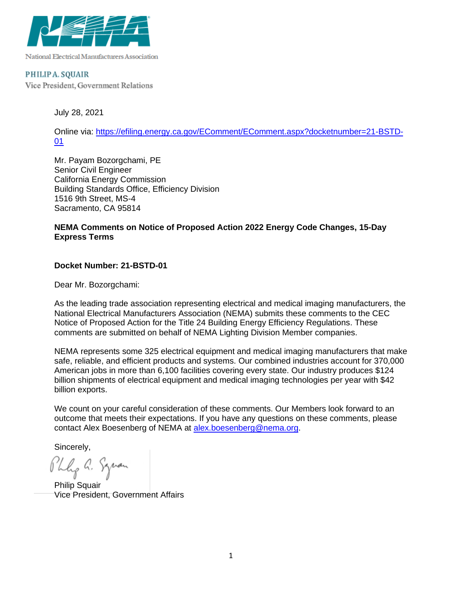

National Electrical Manufacturers Association

#### PHILIPA. SQUAIR

Vice President, Government Relations

July 28, 2021

Online via: [https://efiling.energy.ca.gov/EComment/EComment.aspx?docketnumber=21-BSTD-](https://efiling.energy.ca.gov/EComment/EComment.aspx?docketnumber=21-BSTD-01)[01](https://efiling.energy.ca.gov/EComment/EComment.aspx?docketnumber=21-BSTD-01)

Mr. Payam Bozorgchami, PE Senior Civil Engineer California Energy Commission Building Standards Office, Efficiency Division 1516 9th Street, MS-4 Sacramento, CA 95814

### **NEMA Comments on Notice of Proposed Action 2022 Energy Code Changes, 15-Day Express Terms**

#### **Docket Number: 21-BSTD-01**

Dear Mr. Bozorgchami:

As the leading trade association representing electrical and medical imaging manufacturers, the National Electrical Manufacturers Association (NEMA) submits these comments to the CEC Notice of Proposed Action for the Title 24 Building Energy Efficiency Regulations. These comments are submitted on behalf of NEMA Lighting Division Member companies.

NEMA represents some 325 electrical equipment and medical imaging manufacturers that make safe, reliable, and efficient products and systems. Our combined industries account for 370,000 American jobs in more than 6,100 facilities covering every state. Our industry produces \$124 billion shipments of electrical equipment and medical imaging technologies per year with \$42 billion exports.

We count on your careful consideration of these comments. Our Members look forward to an outcome that meets their expectations. If you have any questions on these comments, please contact Alex Boesenberg of NEMA at [alex.boesenberg@nema.org.](mailto:alex.boesenberg@nema.org)

Sincerely,

Phly a. Squan

Philip Squair Vice President, Government Affairs